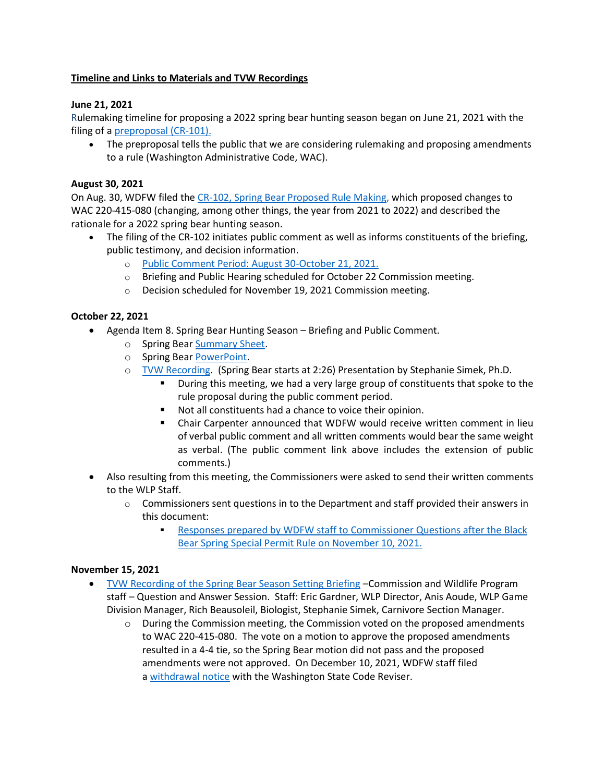# **Timeline and Links to Materials and TVW Recordings**

# **June 21, 2021**

Rulemaking timeline for proposing a 2022 spring bear hunting season began on June 21, 2021 with the filing of a [preproposal \(CR-101\).](https://gcc02.safelinks.protection.outlook.com/?url=https%3A%2F%2Fwdfw.wa.gov%2Fsites%2Fdefault%2Ffiles%2Fabout%2Fregulations%2Ffilings%2F2021%2Fwsr_21-13-118.pdf&data=04%7C01%7CRuleMaking%40dfw.wa.gov%7C1e35b128a0e44e93c4ec08d9f72631a6%7C11d0e217264e400a8ba057dcc127d72d%7C0%7C0%7C637812565696469545%7CUnknown%7CTWFpbGZsb3d8eyJWIjoiMC4wLjAwMDAiLCJQIjoiV2luMzIiLCJBTiI6Ik1haWwiLCJXVCI6Mn0%3D%7C3000&sdata=7jSunhbEE5EJ01EwwQfio6fmaG7GN%2FEfacncFRELJIE%3D&reserved=0)

The preproposal tells the public that we are considering rulemaking and proposing amendments to a rule (Washington Administrative Code, WAC).

### **August 30, 2021**

On Aug. 30, WDFW filed the [CR-102, Spring Bear Proposed Rule Making,](https://gcc02.safelinks.protection.outlook.com/?url=https%3A%2F%2Fwdfw.wa.gov%2Fsites%2Fdefault%2Ffiles%2Fabout%2Fregulations%2Ffilings%2F2021%2Fwsr_21-18-084.pdf&data=04%7C01%7CRuleMaking%40dfw.wa.gov%7C1e35b128a0e44e93c4ec08d9f72631a6%7C11d0e217264e400a8ba057dcc127d72d%7C0%7C0%7C637812565696469545%7CUnknown%7CTWFpbGZsb3d8eyJWIjoiMC4wLjAwMDAiLCJQIjoiV2luMzIiLCJBTiI6Ik1haWwiLCJXVCI6Mn0%3D%7C3000&sdata=9xFaU6MZBckVzP45%2FgV6uICiQlehUIa85jFd%2BHnmFcY%3D&reserved=0) which proposed changes to WAC 220-415-080 (changing, among other things, the year from 2021 to 2022) and described the rationale for a 2022 spring bear hunting season.

- The filing of the CR-102 initiates public comment as well as informs constituents of the briefing, public testimony, and decision information.
	- o [Public Comment Period: August 30-October 21, 2021.](https://gcc02.safelinks.protection.outlook.com/?url=https%3A%2F%2Fwdfw.wa.gov%2Fsites%2Fdefault%2Ffiles%2Fabout%2Fregulations%2Ffilings%2F2021%2Fspring_black_bear_2022_season_emailed_comments_only.xlsx&data=04%7C01%7CRuleMaking%40dfw.wa.gov%7C1e35b128a0e44e93c4ec08d9f72631a6%7C11d0e217264e400a8ba057dcc127d72d%7C0%7C0%7C637812565696469545%7CUnknown%7CTWFpbGZsb3d8eyJWIjoiMC4wLjAwMDAiLCJQIjoiV2luMzIiLCJBTiI6Ik1haWwiLCJXVCI6Mn0%3D%7C3000&sdata=awrBZNVdW%2FcxQi2iiQ7n6Xfjt3fDuwUefYEe3PogULc%3D&reserved=0)
	- o Briefing and Public Hearing scheduled for October 22 Commission meeting.
	- o Decision scheduled for November 19, 2021 Commission meeting.

# **October 22, 2021**

- Agenda Item 8. Spring Bear Hunting Season Briefing and Public Comment.
	- o Spring Bea[r Summary Sheet.](https://gcc02.safelinks.protection.outlook.com/?url=https%3A%2F%2Fwdfw.wa.gov%2Fsites%2Fdefault%2Ffiles%2F2021-10%2F8_spring_bear_ssv2.pdf&data=04%7C01%7CRuleMaking%40dfw.wa.gov%7C1e35b128a0e44e93c4ec08d9f72631a6%7C11d0e217264e400a8ba057dcc127d72d%7C0%7C0%7C637812565696469545%7CUnknown%7CTWFpbGZsb3d8eyJWIjoiMC4wLjAwMDAiLCJQIjoiV2luMzIiLCJBTiI6Ik1haWwiLCJXVCI6Mn0%3D%7C3000&sdata=H6JQX%2F4FXmbud4fPYY4oTTjnYJw%2FhVJdgNreJt3aCWw%3D&reserved=0)
	- o Spring Bea[r PowerPoint.](https://gcc02.safelinks.protection.outlook.com/?url=https%3A%2F%2Fwdfw.wa.gov%2Fsites%2Fdefault%2Ffiles%2F2021-10%2F8spring_bearpp.pdf&data=04%7C01%7CRuleMaking%40dfw.wa.gov%7C1e35b128a0e44e93c4ec08d9f72631a6%7C11d0e217264e400a8ba057dcc127d72d%7C0%7C0%7C637812565696469545%7CUnknown%7CTWFpbGZsb3d8eyJWIjoiMC4wLjAwMDAiLCJQIjoiV2luMzIiLCJBTiI6Ik1haWwiLCJXVCI6Mn0%3D%7C3000&sdata=%2BVZu6TDO%2BFJ0oSLi%2FfvMJqDAEuzx7y7ejvuLjA%2FexGs%3D&reserved=0)
	- o [TVW Recording.](https://gcc02.safelinks.protection.outlook.com/?url=https%3A%2F%2Ftvw.org%2Fvideo%2Fwashington-state-fish-wildlife-commission-2021101179%2F%3FeventID%3D2021101179&data=04%7C01%7CRuleMaking%40dfw.wa.gov%7C1e35b128a0e44e93c4ec08d9f72631a6%7C11d0e217264e400a8ba057dcc127d72d%7C0%7C0%7C637812565696469545%7CUnknown%7CTWFpbGZsb3d8eyJWIjoiMC4wLjAwMDAiLCJQIjoiV2luMzIiLCJBTiI6Ik1haWwiLCJXVCI6Mn0%3D%7C3000&sdata=MjQtnAcrOPqOhIP2S0ZzRwBp6wwpuSA1Jh98gWbLgaE%3D&reserved=0) (Spring Bear starts at 2:26) Presentation by Stephanie Simek, Ph.D.
		- During this meeting, we had a very large group of constituents that spoke to the rule proposal during the public comment period.
		- Not all constituents had a chance to voice their opinion.
		- Chair Carpenter announced that WDFW would receive written comment in lieu of verbal public comment and all written comments would bear the same weight as verbal. (The public comment link above includes the extension of public comments.)
- Also resulting from this meeting, the Commissioners were asked to send their written comments to the WLP Staff.
	- $\circ$  Commissioners sent questions in to the Department and staff provided their answers in this document:
		- Responses prepared by WDFW staff to Commissioner Questions after the Black [Bear Spring Special Permit Rule on November 10, 2021.](https://gcc02.safelinks.protection.outlook.com/?url=https%3A%2F%2Fwdfw.wa.gov%2Fsites%2Fdefault%2Ffiles%2F2021-11%2Ffwc_nov_15_response__commissioner_questionsv2.pdf&data=04%7C01%7CRuleMaking%40dfw.wa.gov%7C1e35b128a0e44e93c4ec08d9f72631a6%7C11d0e217264e400a8ba057dcc127d72d%7C0%7C0%7C637812565696469545%7CUnknown%7CTWFpbGZsb3d8eyJWIjoiMC4wLjAwMDAiLCJQIjoiV2luMzIiLCJBTiI6Ik1haWwiLCJXVCI6Mn0%3D%7C3000&sdata=bXFMQqe5GKKjlFlZ42EuFk5ORlp9xKMTymvmuCCNHWI%3D&reserved=0)

### **November 15, 2021**

- [TVW Recording of the Spring Bear Season Setting Briefing](https://gcc02.safelinks.protection.outlook.com/?url=https%3A%2F%2Ftvw.org%2Fvideo%2Fwashington-state-fish-wildlife-commission-2021111123%2F%3FeventID%3D2021111123&data=04%7C01%7CRuleMaking%40dfw.wa.gov%7C1e35b128a0e44e93c4ec08d9f72631a6%7C11d0e217264e400a8ba057dcc127d72d%7C0%7C0%7C637812565696469545%7CUnknown%7CTWFpbGZsb3d8eyJWIjoiMC4wLjAwMDAiLCJQIjoiV2luMzIiLCJBTiI6Ik1haWwiLCJXVCI6Mn0%3D%7C3000&sdata=joegahKfHAZLl%2FKNlC%2Bs%2FN2Ki9dt%2FRGeu3iBEHTtNzU%3D&reserved=0) –Commission and Wildlife Program staff – Question and Answer Session. Staff: Eric Gardner, WLP Director, Anis Aoude, WLP Game Division Manager, Rich Beausoleil, Biologist, Stephanie Simek, Carnivore Section Manager.
	- $\circ$  During the Commission meeting, the Commission voted on the proposed amendments to WAC 220-415-080. The vote on a motion to approve the proposed amendments resulted in a 4-4 tie, so the Spring Bear motion did not pass and the proposed amendments were not approved. On December 10, 2021, WDFW staff filed a [withdrawal notice](https://gcc02.safelinks.protection.outlook.com/?url=https%3A%2F%2Fwdfw.wa.gov%2Fsites%2Fdefault%2Ffiles%2Fabout%2Fregulations%2Ffilings%2F2021%2Fwsr_22-01-073.pdf&data=04%7C01%7CRuleMaking%40dfw.wa.gov%7C1e35b128a0e44e93c4ec08d9f72631a6%7C11d0e217264e400a8ba057dcc127d72d%7C0%7C0%7C637812565696469545%7CUnknown%7CTWFpbGZsb3d8eyJWIjoiMC4wLjAwMDAiLCJQIjoiV2luMzIiLCJBTiI6Ik1haWwiLCJXVCI6Mn0%3D%7C3000&sdata=gXcFNvkG6jQ5Yg14rMMegafEVe7gTsH9mbzJ69CSXV8%3D&reserved=0) with the Washington State Code Reviser.